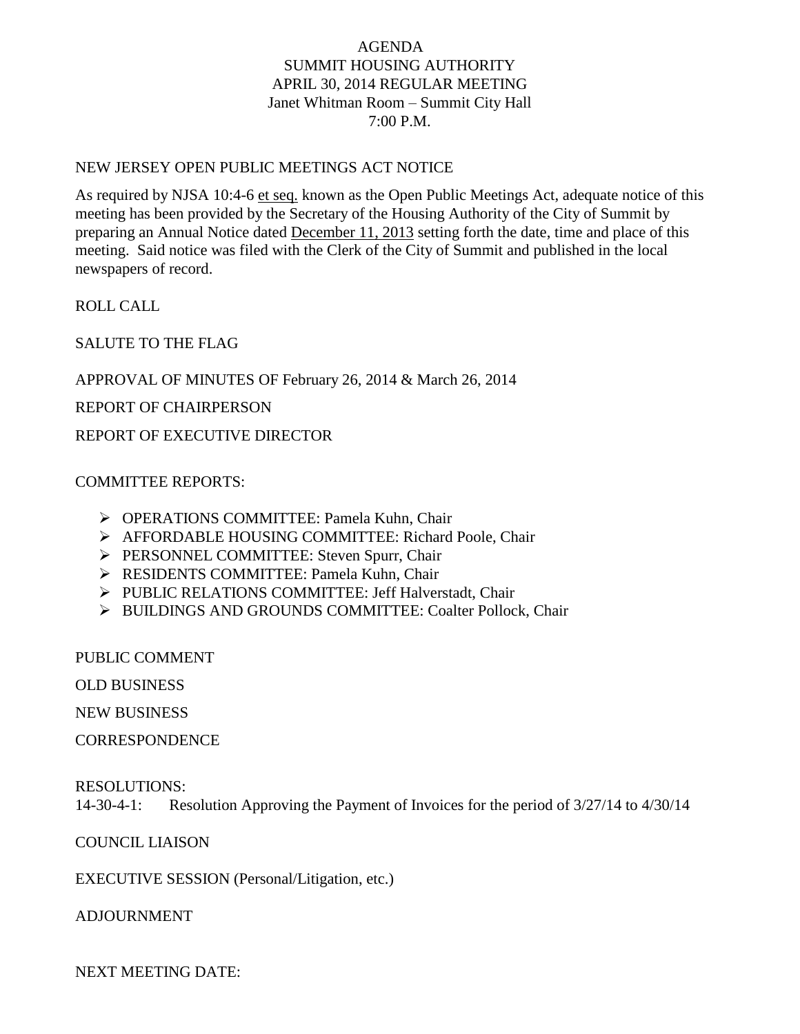# AGENDA SUMMIT HOUSING AUTHORITY APRIL 30, 2014 REGULAR MEETING Janet Whitman Room – Summit City Hall 7:00 P.M.

### NEW JERSEY OPEN PUBLIC MEETINGS ACT NOTICE

As required by NJSA 10:4-6 et seq. known as the Open Public Meetings Act, adequate notice of this meeting has been provided by the Secretary of the Housing Authority of the City of Summit by preparing an Annual Notice dated December 11, 2013 setting forth the date, time and place of this meeting. Said notice was filed with the Clerk of the City of Summit and published in the local newspapers of record.

ROLL CALL

SALUTE TO THE FLAG

APPROVAL OF MINUTES OF February 26, 2014 & March 26, 2014

REPORT OF CHAIRPERSON

REPORT OF EXECUTIVE DIRECTOR

### COMMITTEE REPORTS:

- OPERATIONS COMMITTEE: Pamela Kuhn, Chair
- AFFORDABLE HOUSING COMMITTEE: Richard Poole, Chair
- PERSONNEL COMMITTEE: Steven Spurr, Chair
- RESIDENTS COMMITTEE: Pamela Kuhn, Chair
- PUBLIC RELATIONS COMMITTEE: Jeff Halverstadt, Chair
- > BUILDINGS AND GROUNDS COMMITTEE: Coalter Pollock, Chair

PUBLIC COMMENT

OLD BUSINESS

NEW BUSINESS

**CORRESPONDENCE** 

#### RESOLUTIONS:

14-30-4-1: Resolution Approving the Payment of Invoices for the period of 3/27/14 to 4/30/14

# COUNCIL LIAISON

EXECUTIVE SESSION (Personal/Litigation, etc.)

ADJOURNMENT

NEXT MEETING DATE: